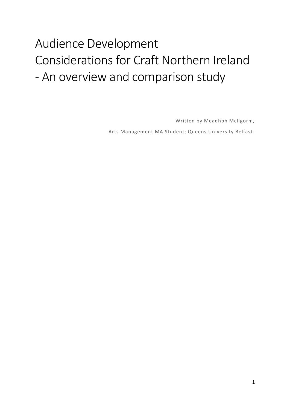# Audience Development Considerations for Craft Northern Ireland - An overview and comparison study

Written by Meadhbh McIlgorm, Arts Management MA Student; Queens University Belfast.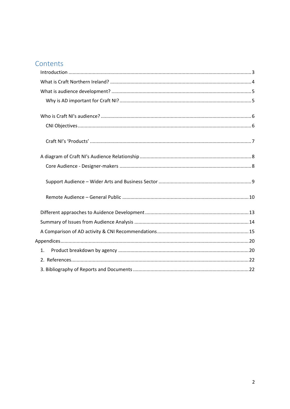# Contents

| 1 <sub>1</sub> |  |
|----------------|--|
|                |  |
|                |  |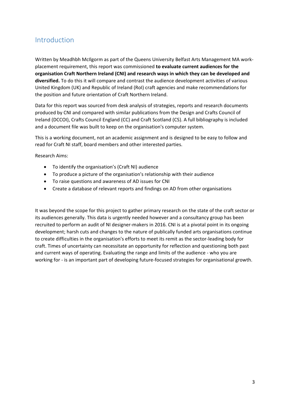### <span id="page-2-0"></span>Introduction

Written by Meadhbh McIlgorm as part of the Queens University Belfast Arts Management MA workplacement requirement, this report was commissioned **to evaluate current audiences for the organisation Craft Northern Ireland (CNI) and research ways in which they can be developed and diversified.** To do this it will compare and contrast the audience development activities of various United Kingdom (UK) and Republic of Ireland (RoI) craft agencies and make recommendations for the position and future orientation of Craft Northern Ireland.

Data for this report was sourced from desk analysis of strategies, reports and research documents produced by CNI and compared with similar publications from the Design and Crafts Council of Ireland (DCCOI), Crafts Council England (CC) and Craft Scotland (CS). A full bibliography is included and a document file was built to keep on the organisation's computer system.

This is a working document, not an academic assignment and is designed to be easy to follow and read for Craft NI staff, board members and other interested parties.

Research Aims:

- To identify the organisation's (Craft NI) audience
- To produce a picture of the organisation's relationship with their audience
- To raise questions and awareness of AD issues for CNI
- Create a database of relevant reports and findings on AD from other organisations

It was beyond the scope for this project to gather primary research on the state of the craft sector or its audiences generally. This data is urgently needed however and a consultancy group has been recruited to perform an audit of NI designer-makers in 2016. CNI is at a pivotal point in its ongoing development; harsh cuts and changes to the nature of publically funded arts organisations continue to create difficulties in the organisation's efforts to meet its remit as the sector-leading body for craft. Times of uncertainty can necessitate an opportunity for reflection and questioning both past and current ways of operating. Evaluating the range and limits of the audience - who you are working for - is an important part of developing future-focused strategies for organisational growth.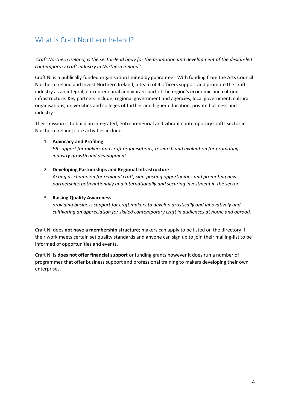# <span id="page-3-0"></span>What is Craft Northern Ireland?

*'Craft Northern Ireland, is the sector-lead body for the promotion and development of the design-led contemporary craft industry in Northern Ireland.'* 

Craft NI is a publically funded organisation limited by guarantee. With funding from the Arts Council Northern Ireland and Invest Northern Ireland, a team of 4 officers support and promote the craft industry as an integral, entrepreneurial and vibrant part of the region's economic and cultural infrastructure. Key partners include; regional government and agencies, local government, cultural organisations, universities and colleges of further and higher education, private business and industry.

Their mission is to build an integrated, entrepreneurial and vibrant contemporary crafts sector in Northern Ireland; core activities include

#### 1. **Advocacy and Profiling**

*PR support for makers and craft organisations, research and evaluation for promoting industry growth and development.* 

#### 2. **Developing Partnerships and Regional Infrastructure**

*Acting as champion for regional craft; sign-posting opportunities and promoting new partnerships both nationally and internationally and securing investment in the sector.* 

#### 3. **Raising Quality Awareness**

*providing business support for craft makers to develop artistically and innovatively and cultivating an appreciation for skilled contemporary craft in audiences at home and abroad.* 

Craft NI does **not have a membership structure**; makers can apply to be listed on the directory if their work meets certain set quality standards and anyone can sign up to join their mailing-list to be informed of opportunities and events.

Craft NI is **does not offer financial support** or funding grants however it does run a number of programmes that offer business support and professional training to makers developing their own enterprises.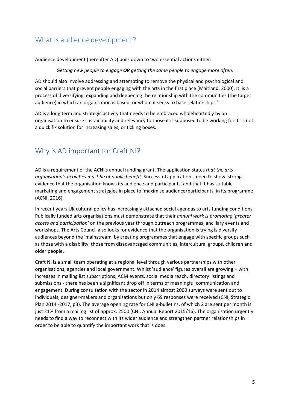### <span id="page-4-0"></span>What is audience development?

Audience development (hereafter AD) boils down to two essential actions either:

*Getting new people to engage OR getting the same people to engage more often.*

AD should also involve addressing and attempting to remove the physical and psychological and social barriers that prevent people engaging with the arts in the first place (Maitland, 2000). It 'is a process of diversifying, expanding and deepening the relationship with the communities (the target audience) in which an organisation is based, or whom it seeks to base relationships.'

AD is a long term and strategic activity that needs to be embraced wholeheartedly by an organisation to ensure sustainability and relevancy to those it is supposed to be working for. It is not a quick fix solution for increasing sales, or ticking boxes.

# <span id="page-4-1"></span>Why is AD important for Craft NI?

AD is a requirement of the ACNI's annual funding grant. The application states *that the arts organisation's activities must be of public benefit*. Successful application's need to show 'strong evidence that the organisation knows its audience and participants' and that it has suitable marketing and engagement strategies in place to 'maximise audience/participants' in its programme (ACNI, 2016).

In recent years UK cultural policy has increasingly attached social agendas to arts funding conditions. Publically funded arts organisations must demonstrate that their *annual work is promoting 'greater access and participation'* on the previous year through outreach programmes, ancillary events and workshops. The Arts Council also looks for evidence that the organisation is trying is diversify audiences beyond the 'mainstream' by creating programmes that engage with specific groups such as those with a disability, those from disadvantaged communities, intercultural groups, children and older people.

Craft NI is a small team operating at a regional level through various partnerships with other organisations, agencies and local government. Whilst 'audience' figures overall are growing – with increases in mailing list subscriptions, ACM events, social media reach, directory listings and submissions - there has been a significant drop off in terms of meaningful communication and engagement. During consultation with the sector in 2014 almost 2000 surveys were sent out to individuals, designer-makers and organisations but only 69 responses were received (CNI, Strategic Plan 2014 -2017, p3). The average opening rate for CNI e-bulletins, of which 2 are sent per month is just 21% from a mailing list of approx. 2500 (CNI, Annual Report 2015/16). The organisation urgently needs to find a way to reconnect with its wider audience and strengthen partner relationships in order to be able to quantify the important work that is does.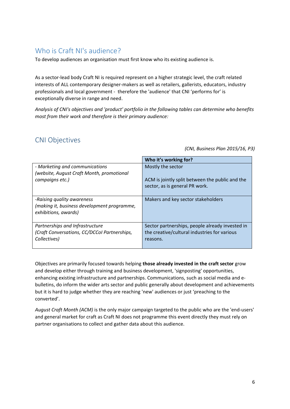### <span id="page-5-0"></span>Who is Craft NI's audience?

To develop audiences an organisation must first know who its existing audience is.

As a sector-lead body Craft NI is required represent on a higher strategic level, the craft related interests of ALL contemporary designer-makers as well as retailers, gallerists, educators, industry professionals and local government - therefore the 'audience' that CNI 'performs for' is exceptionally diverse in range and need.

*Analysis of CNI's objectives and 'product' portfolio in the following tables can determine who benefits most from their work and therefore is their primary audience:* 

### <span id="page-5-1"></span>CNI Objectives

*(CNI, Business Plan 2015/16, P3)*

|                                                                                                   | Who it's working for?                           |
|---------------------------------------------------------------------------------------------------|-------------------------------------------------|
| - Marketing and communications                                                                    | Mostly the sector                               |
| (website, August Craft Month, promotional                                                         | ACM is jointly split between the public and the |
| campaigns etc.)                                                                                   | sector, as is general PR work.                  |
| -Raising quality awareness<br>(making it, business development programme,<br>exhibitions, awards) | Makers and key sector stakeholders              |
| Partnerships and Infrastructure                                                                   | Sector partnerships, people already invested in |
| (Craft Conversations, CC/DCCol Partnerships,                                                      | the creative/cultural industries for various    |
| Collectives)                                                                                      | reasons.                                        |

Objectives are primarily focused towards helping **those already invested in the craft sector** grow and develop either through training and business development, 'signposting' opportunities, enhancing existing infrastructure and partnerships. Communications, such as social media and ebulletins, do inform the wider arts sector and public generally about development and achievements but it is hard to judge whether they are reaching 'new' audiences or just 'preaching to the converted'.

*August Craft Month (ACM)* is the only major campaign targeted to the public who are the 'end-users' and general market for craft as Craft NI does not programme this event directly they must rely on partner organisations to collect and gather data about this audience.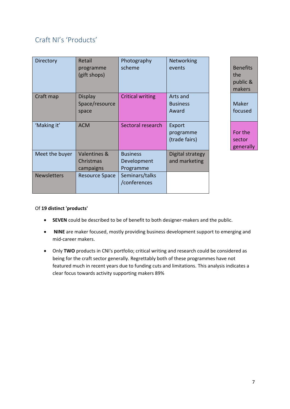# <span id="page-6-0"></span>Craft NI's 'Products'

| Directory          | Retail<br>programme<br>(gift shops)       | Photography<br>scheme                       | Networking<br>events                 |
|--------------------|-------------------------------------------|---------------------------------------------|--------------------------------------|
| Craft map          | <b>Display</b><br>Space/resource<br>space | <b>Critical writing</b>                     | Arts and<br><b>Business</b><br>Award |
| 'Making it'        | <b>ACM</b>                                | Sectoral research                           | Export<br>programme<br>(trade fairs) |
| Meet the buyer     | Valentines &<br>Christmas<br>campaigns    | <b>Business</b><br>Development<br>Programme | Digital strategy<br>and marketing    |
| <b>Newsletters</b> | <b>Resource Space</b>                     | Seminars/talks<br>/conferences              |                                      |

**Benefits** the public & makers Maker focused For the sector generally

#### Of **19 distinct 'products'**

- **SEVEN** could be described to be of benefit to both designer-makers and the public.
- **NINE** are maker focused, mostly providing business development support to emerging and mid-career makers.
- Only **TWO** products in CNI's portfolio; critical writing and research could be considered as being for the craft sector generally. Regrettably both of these programmes have not featured much in recent years due to funding cuts and limitations. This analysis indicates a clear focus towards activity supporting makers 89%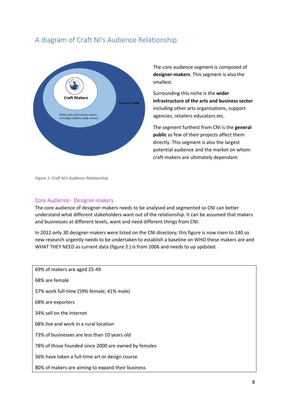## <span id="page-7-0"></span>A diagram of Craft NI's Audience Relationship



The core audience segment is composed of **designer-makers**. This segment is also the smallest.

Surrounding this niche is the **wider infrastructure of the arts and business sector** including other arts organisations, support agencies, retailers educators etc.

The segment furthest from CNI is the **general public** as few of their projects affect them directly. This segment is also the largest potential audience and the market on whom craft-makers are ultimately dependant.

#### *Figure 1: Craft NI's Audience Relationship*

#### <span id="page-7-1"></span>Core Audience - Designer-makers

The core audience of designer-makers needs to be analysed and segmented so CNI can better understand what different stakeholders want out of the relationship. It can be assumed that makers and businesses at different levels, want and need different things from CNI.

In 2012 only 30 designer-makers were listed on the CNI directory; this figure is now risen to 140 so new research urgently needs to be undertaken to establish a baseline on WHO these makers are and WHAT THEY NEED as current data (figure 2.) is from 2006 and needs to up updated.

| 69% of makers are aged 25-49                         |
|------------------------------------------------------|
| 68% are female                                       |
| 57% work full-time (59% female; 41% male)            |
| 68% are exporters                                    |
| 34% sell on the Internet                             |
| 68% live and work in a rural location                |
| 73% of businesses are less than 10 years old         |
| 78% of those founded since 2000 are owned by females |
| 56% have taken a full-time art or design course      |
| 80% of makers are aiming to expand their business    |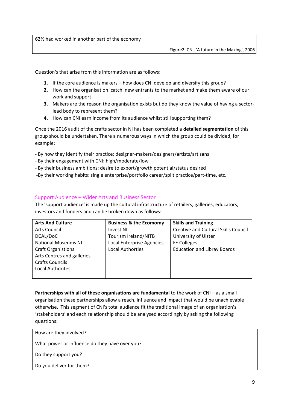62% had worked in another part of the economy

Question's that arise from this information are as follows:

- **1.** If the core audience is makers how does CNI develop and diversify this group?
- **2.** How can the organisation 'catch' new entrants to the market and make them aware of our work and support
- **3.** Makers are the reason the organisation exists but do they know the value of having a sectorlead body to represent them?
- **4.** How can CNI earn income from its audience whilst still supporting them?

Once the 2016 audit of the crafts sector in NI has been completed a **detailed segmentation** of this group should be undertaken. There a numerous ways in which the group could be divided, for example:

- By how they identify their practice: designer-makers/designers/artists/artisans
- By their engagement with CNI: high/moderate/low
- By their business ambitions: desire to export/growth potential/status desired
- -By their working habits: single enterprise/portfolio career/split practice/part-time, etc.

#### <span id="page-8-0"></span>Support Audience – Wider Arts and Business Sector

The 'support audience' is made up the cultural infrastructure of retailers, galleries, educators, investors and funders and can be broken down as follows:

| <b>Arts And Culture</b>    | <b>Business &amp; the Ecomomy</b> | <b>Skills and Training</b>                  |
|----------------------------|-----------------------------------|---------------------------------------------|
| Arts Council               | <b>Invest NI</b>                  | <b>Creative and Cultural Skills Council</b> |
| DCAL/DoC                   | Tourism Ireland/NITB              | University of Ulster                        |
| <b>National Museums NI</b> | Local Enterprise Agencies         | <b>FE Colleges</b>                          |
| <b>Craft Organistions</b>  | <b>Local Authorties</b>           | <b>Education and Libray Boards</b>          |
| Arts Centres and galleries |                                   |                                             |
| <b>Crafts Councils</b>     |                                   |                                             |
| <b>Local Authorites</b>    |                                   |                                             |
|                            |                                   |                                             |

**Partnerships with all of these organisations are fundamental** to the work of CNI – as a small organisation these partnerships allow a reach, influence and impact that would be unachievable otherwise. This segment of CNI's total audience fit the traditional image of an organisation's 'stakeholders' and each relationship should be analysed accordingly by asking the following questions:

How are they involved?

What power or influence do they have over you?

Do they support you?

Do you deliver for them?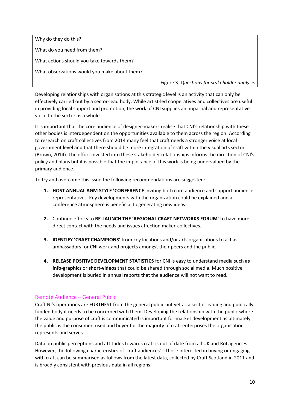Why do they do this? What do you need from them? What actions should you take towards them? What observations would you make about them?

Figure 3*: Questions for stakeholder analysis* 

Developing relationships with organisations at this strategic level is an activity that can only be effectively carried out by a sector-lead body. While artist-led cooperatives and collectives are useful in providing local support and promotion, the work of CNI supplies an impartial and representative voice to the sector as a whole.

It is important that the core audience of designer-makers realise that CNI's relationship with these other bodies is interdependent on the opportunities available to them across the region. According to research on craft collectives from 2014 many feel that craft needs a stronger voice at local government level and that there should be more integration of craft within the visual arts sector (Brown, 2014). The effort invested into these stakeholder relationships informs the direction of CNI's policy and plans but it is possible that the importance of this work is being undervalued by the primary audience.

To try and overcome this issue the following recommendations are suggested:

- **1. HOST ANNUAL AGM STYLE 'CONFERENCE** inviting both core audience and support audience representatives. Key developments with the organization could be explained and a conference atmosphere is beneficial to generating new ideas.
- **2.** Continue efforts to **RE-LAUNCH THE 'REGIONAL CRAFT NETWORKS FORUM'** to have more direct contact with the needs and issues affection maker-collectives.
- **3. IDENTIFY 'CRAFT CHAMPIONS'** from key locations and/or arts organisations to act as ambassadors for CNI work and projects amongst their peers and the public.
- **4. RELEASE POSITIVE DEVELOPMENT STATISTICS** for CNI is easy to understand media such **as info-graphics** or **short-videos** that could be shared through social media. Much positive development is buried in annual reports that the audience will not want to read.

#### <span id="page-9-0"></span>Remote Audience – General Public

Craft NI's operations are FURTHEST from the general public but yet as a sector leading and publically funded body it needs to be concerned with them. Developing the relationship with the public where the value and purpose of craft is communicated is important for market development as ultimately the public is the consumer, used and buyer for the majority of craft enterprises the organisation represents and serves.

Data on public perceptions and attitudes towards craft is out of date from all UK and RoI agencies. However, the following characteristics of 'craft audiences' – those interested in buying or engaging with craft can be summarised as follows from the latest data, collected by Craft Scotland in 2011 and is broadly consistent with previous data in all regions.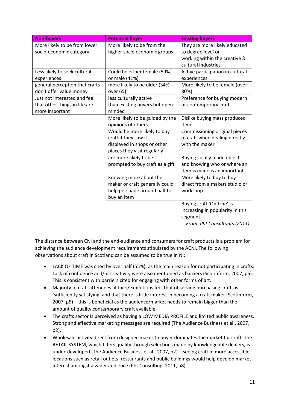| <b>Non-buyers</b>              | <b>Potential buyer</b>          | <b>Existing buyers</b>           |
|--------------------------------|---------------------------------|----------------------------------|
| More likely to be from lower   | More likely to be from the      | They are more likely educated    |
| socio-economic category        | higher socio economic groups    | to degree level or               |
|                                |                                 | working within the creative &    |
|                                |                                 | cultural industries              |
| Less likely to seek cultural   | Could be either female (59%)    | Active participation in cultural |
| experiences                    | or male (41%)                   | experiences                      |
| general perception that crafts | more likely to be older (34%    | More likely to be female (over   |
| don't offer value money        | over 65)                        | 80%)                             |
| Just not interested and feel   | less culturally active          | Preference for buying modern     |
| that other things in life are  | than existing buyers but open   | or contemporary craft            |
| more important                 | minded                          |                                  |
|                                | More likely to be guided by the | Dislike buying mass produced     |
|                                | opinions of others              | items                            |
|                                | Would be more likely to buy     | Commissioning original pieces    |
|                                | craft if they saw it            | of craft when dealing directly   |
|                                | displayed in shops or other     | with the maker                   |
|                                | places they visit regularly     |                                  |
|                                | are more likely to be           | Buying locally made objects      |
|                                | prompted to buy craft as a gift | and knowing who or where an      |
|                                |                                 | item is made is an important     |
|                                | Knowing more about the          | More likely to buy to buy        |
|                                | maker or craft generally could  | direct from a makers studio or   |
|                                | help persuade around half to    | workshop                         |
|                                | buy an item                     |                                  |
|                                |                                 | Buying craft 'On-Line' is        |
|                                |                                 | increasing in popularity in this |
|                                |                                 | segment<br>$\sqrt{2}$            |

*From: Pht Consultants (2011)*

The distance between CNI and the end-audience and consumers for craft products is a problem for achieving the audience development requirements stipulated by the ACNI. The following observations about craft in Scotland can be assumed to be true in NI:

- LACK OF TIME was cited by over half (55%), as the main reason for not participating in crafts. Lack of confidence and/or creativity were also mentioned as barriers (Scotinform, 2007, p5). This is consistent with barriers cited for engaging with other forms of art.
- Majority of craft attendees at fairs/exhibitions feel that observing purchasing crafts is 'sufficiently satisfying' and that there is little interest in becoming a craft maker (Scotinform, 2007, p5) – this is beneficial as the audience/market needs to remain bigger than the amount of quality contemporary craft available.
- The crafts sector is perceived as having a LOW MEDIA PROFILE and limited public awareness. Strong and effective marketing messages are required (The Audience Business et al., 2007, p2).
- Wholesale activity direct from designer-maker to buyer dominates the market for craft. The RETAIL SYSTEM, which filters quality through selections made by knowledgeable dealers, is under-developed (The Audience Business et al., 2007, p2) - seeing craft in more accessible locations such as retail outlets, restaurants and public buildings would help develop market interest amongst a wider audience (Pht Consulting, 2011, p8).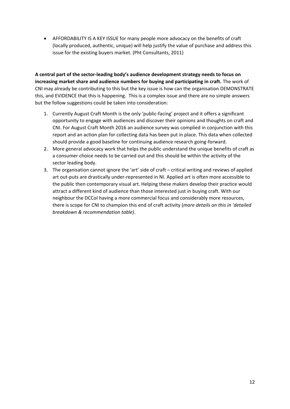AFFORDABILITY IS A KEY ISSUE for many people more advocacy on the benefits of craft (locally produced, authentic, unique) will help justify the value of purchase and address this issue for the existing buyers market. (Pht Consultants, 2011)

**A central part of the sector-leading body's audience development strategy needs to focus on increasing market share and audience numbers for buying and participating in craft.** The work of CNI may already be contributing to this but the key issue is how can the organisation DEMONSTRATE this, and EVIDENCE that this is happening. This is a complex issue and there are no simple answers but the follow suggestions could be taken into consideration:

- 1. Currently August Craft Month is the only 'public-facing' project and it offers a significant opportunity to engage with audiences and discover their opinions and thoughts on craft and CNI. For August Craft Month 2016 an audience survey was complied in conjunction with this report and an action plan for collecting data has been put in place. This data when collected should provide a good baseline for continuing audience research going-forward.
- 2. More general advocacy work that helps the public understand the unique benefits of craft as a consumer choice needs to be carried out and this should be within the activity of the sector leading body.
- 3. The organisation cannot ignore the 'art' side of craft critical writing and reviews of applied art out-puts are drastically under-represented in NI. Applied art is often more accessible to the public then contemporary visual art. Helping these makers develop their practice would attract a different kind of audience than those interested just in buying craft. With our neighbour the DCCoI having a more commercial focus and considerably more resources, there is scope for CNI to champion this end of craft activity (*more details on this in 'detailed breakdown & recommendation table)*.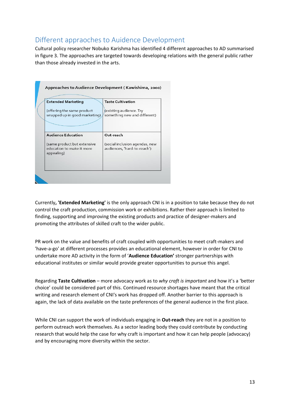### <span id="page-12-0"></span>Different appraoches to Auidence Development

Cultural policy researcher Nobuko Karishma has identified 4 different approaches to AD summarised in figure 3. The approaches are targeted towards developing relations with the general public rather than those already invested in the arts.

| <b>Extended Marketing</b>                                              | <b>Taste Cultivation</b>                                      |
|------------------------------------------------------------------------|---------------------------------------------------------------|
| (offering the same product<br>wrapped up in good marketing)            | (existing audience. Try<br>something new and different)       |
| <b>Audience Education</b>                                              | Out-reach                                                     |
| (same product but extensive<br>education to make it more<br>appealing) | (social inclusion agendas, new<br>audiences, 'hard-to-reach') |

Currently**, 'Extended Marketing'** is the only approach CNI is in a position to take because they do not control the craft production, commission work or exhibitions. Rather their approach is limited to finding, supporting and improving the existing products and practice of designer-makers and promoting the attributes of skilled craft to the wider public.

PR work on the value and benefits of craft coupled with opportunities to meet craft-makers and 'have-a-go' at different processes provides an educational element, however in order for CNI to undertake more AD activity in the form of '**Audience Education'** stronger partnerships with educational institutes or similar would provide greater opportunities to pursue this angel.

Regarding **Taste Cultivation** – more advocacy work as to *why craft is important* and how it's a 'better choice' could be considered part of this. Continued resource shortages have meant that the critical writing and research element of CNI's work has dropped off. Another barrier to this approach is again, the lack of data available on the taste preferences of the general audience in the first place.

While CNI can support the work of individuals engaging in **Out-reach** they are not in a position to perform outreach work themselves. As a sector leading body they could contribute by conducting research that would help the case for why craft is important and how it can help people (advocacy) and by encouraging more diversity within the sector.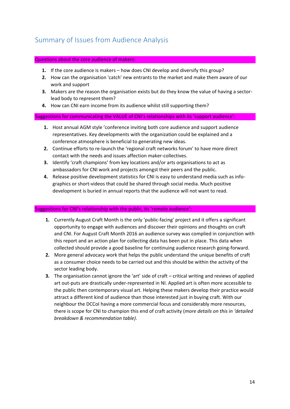# <span id="page-13-0"></span>Summary of Issues from Audience Analysis

#### Questions about the core audience of makers:

- **1.** If the core audience is makers how does CNI develop and diversify this group?
- **2.** How can the organisation 'catch' new entrants to the market and make them aware of our work and support
- **3.** Makers are the reason the organisation exists but do they know the value of having a sectorlead body to represent them?
- **4.** How can CNI earn income from its audience whilst still supporting them?

#### Suggestions for communicating the VALUE of CNI's relationships with its 'support audience':

- **1.** Host annual AGM style 'conference inviting both core audience and support audience representatives. Key developments with the organization could be explained and a conference atmosphere is beneficial to generating new ideas.
- **2.** Continue efforts to re-launch the 'regional craft networks forum' to have more direct contact with the needs and issues affection maker-collectives.
- **3.** Identify 'craft champions' from key locations and/or arts organisations to act as ambassadors for CNI work and projects amongst their peers and the public.
- **4.** Release positive development statistics for CNI is easy to understand media such as infographics or short-videos that could be shared through social media. Much positive development is buried in annual reports that the audience will not want to read.

#### Suggestions for CNI's relationship with the public, its 'remote audience':

- **1.** Currently August Craft Month is the only 'public-facing' project and it offers a significant opportunity to engage with audiences and discover their opinions and thoughts on craft and CNI. For August Craft Month 2016 an audience survey was complied in conjunction with this report and an action plan for collecting data has been put in place. This data when collected should provide a good baseline for continuing audience research going-forward.
- **2.** More general advocacy work that helps the public understand the unique benefits of craft as a consumer choice needs to be carried out and this should be within the activity of the sector leading body.
- **3.** The organisation cannot ignore the 'art' side of craft critical writing and reviews of applied art out-puts are drastically under-represented in NI. Applied art is often more accessible to the public then contemporary visual art. Helping these makers develop their practice would attract a different kind of audience than those interested just in buying craft. With our neighbour the DCCoI having a more commercial focus and considerably more resources, there is scope for CNI to champion this end of craft activity (*more details on this in 'detailed breakdown & recommendation table)*.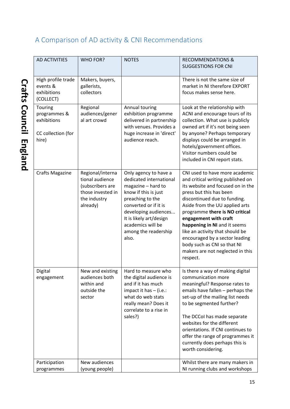# <span id="page-14-0"></span>A Comparison of AD activity & CNI Recommendations

| <b>AD ACTIVITIES</b>                                                  | WHO FOR?                                                                                                 | <b>NOTES</b>                                                                                                                                                                                                                                         | <b>RECOMMENDATIONS &amp;</b><br><b>SUGGESTIONS FOR CNI</b>                                                                                                                                                                                                                                                                                                                                                                                           |
|-----------------------------------------------------------------------|----------------------------------------------------------------------------------------------------------|------------------------------------------------------------------------------------------------------------------------------------------------------------------------------------------------------------------------------------------------------|------------------------------------------------------------------------------------------------------------------------------------------------------------------------------------------------------------------------------------------------------------------------------------------------------------------------------------------------------------------------------------------------------------------------------------------------------|
| High profile trade<br>events &<br>exhibitions<br>(COLLECT)            | Makers, buyers,<br>gallerists,<br>collectors                                                             |                                                                                                                                                                                                                                                      | There is not the same size of<br>market in NI therefore EXPORT<br>focus makes sense here.                                                                                                                                                                                                                                                                                                                                                            |
| Touring<br>programmes &<br>exhibitions<br>CC collection (for<br>hire) | Regional<br>audiences/gener<br>al art crowd                                                              | Annual touring<br>exhibition programme<br>delivered in partnership<br>with venues. Provides a<br>huge increase in 'direct'<br>audience reach.                                                                                                        | Look at the relationship with<br>ACNI and encourage tours of its<br>collection. What use is publicly<br>owned art if it's not being seen<br>by anyone? Perhaps temporary<br>displays could be arranged in<br>hotels/government offices.<br>Visitor numbers could be<br>included in CNI report stats.                                                                                                                                                 |
| <b>Crafts Magazine</b>                                                | Regional/interna<br>tional audience<br>(subscribers are<br>those invested in<br>the industry<br>already) | Only agency to have a<br>dedicated international<br>magazine - hard to<br>know if this is just<br>preaching to the<br>converted or if it is<br>developing audiences<br>It is likely art/design<br>academics will be<br>among the readership<br>also. | CNI used to have more academic<br>and critical writing published on<br>its website and focused on in the<br>press but this has been<br>discontinued due to funding.<br>Aside from the UU applied arts<br>programme there is NO critical<br>engagement with craft<br>happening in NI and it seems<br>like an activity that should be<br>encouraged by a sector leading<br>body such as CNI so that NI<br>makers are not neglected in this<br>respect. |
| Digital<br>engagement                                                 | New and existing<br>audiences both<br>within and<br>outside the<br>sector                                | Hard to measure who<br>the digital audience is<br>and if it has much<br>impact it has $-$ (i.e.:<br>what do web stats<br>really mean? Does it<br>correlate to a rise in<br>sales?)                                                                   | Is there a way of making digital<br>communication more<br>meaningful? Response rates to<br>emails have fallen - perhaps the<br>set-up of the mailing list needs<br>to be segmented further?<br>The DCCol has made separate<br>websites for the different<br>orientations. If CNI continues to<br>offer the range of programmes it<br>currently does perhaps this is<br>worth considering.                                                            |
| Participation<br>programmes                                           | New audiences<br>(young people)                                                                          |                                                                                                                                                                                                                                                      | Whilst there are many makers in<br>NI running clubs and workshops                                                                                                                                                                                                                                                                                                                                                                                    |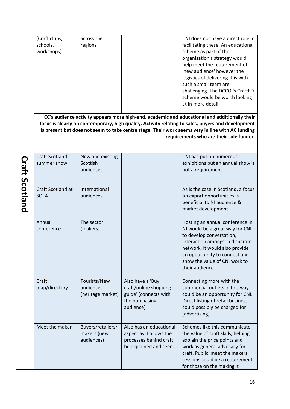| (Craft clubs, | across the | CNI does not have a direct role in |
|---------------|------------|------------------------------------|
|               |            |                                    |
| schools,      | regions    | facilitating these. An educational |
| workshops)    |            | scheme as part of the              |
|               |            | organisation's strategy would      |
|               |            | help meet the requirement of       |
|               |            | 'new audience' however the         |
|               |            | logistics of delivering this with  |
|               |            | such a small team are              |
|               |            | challenging. The DCCOI's CraftED   |
|               |            | scheme would be worth looking      |
|               |            | at in more detail.                 |
|               |            |                                    |

**CC's audience activity appears more high-end, academic and educational and additionally their focus is clearly on contemporary, high quality. Activity relating to sales, buyers and development is present but does not seem to take centre stage. Their work seems very in line with AC funding requirements who are their sole funder**.

Craft Scotland summer show New and existing Scottish audiences CNI has put on numerous exhibitions but an annual show is not a requirement. Craft Scotland at **SOFA** International audiences As is the case in Scotland, a focus on export opportunities is beneficial to NI audience & market development Annual conference The sector (makers) Hosting an annual conference in NI would be a great way for CNI to develop conversation, interaction amongst a disparate network. It would also provide an opportunity to connect and show the value of CNI work to their audience. Craft map/directory Tourists/New audiences (heritage market) Also have a 'Buy craft/online shopping guide' (connects with the purchasing audience) Connecting more with the commercial outlets in this way could be an opportunity for CNI. Direct listing of retail business could possibly be charged for (advertising). Meet the maker  $\vert$  Buyers/retailers/ makers (new audiences) Also has an educational aspect as it allows the processes behind craft be explained and seen. Schemes like this communicate the value of craft skills, helping explain the price points and work as general advocacy for craft. Public 'meet the makers' sessions could be a requirement for those on the making it

**Craft Scotland Craft Scotland**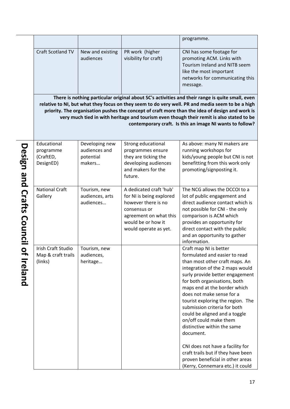|                           |                                                     |                                                        |                                                                                                                                                                     | programme.                                                                                                                                                                                                                                                                                                                                                                                                                                                                                                                                                                                                                         |
|---------------------------|-----------------------------------------------------|--------------------------------------------------------|---------------------------------------------------------------------------------------------------------------------------------------------------------------------|------------------------------------------------------------------------------------------------------------------------------------------------------------------------------------------------------------------------------------------------------------------------------------------------------------------------------------------------------------------------------------------------------------------------------------------------------------------------------------------------------------------------------------------------------------------------------------------------------------------------------------|
|                           | <b>Craft Scotland TV</b>                            | New and existing<br>audiences                          | PR work (higher<br>visibility for craft)                                                                                                                            | CNI has some footage for<br>promoting ACM. Links with<br>Tourism Ireland and NITB seem<br>like the most important<br>networks for communicating this<br>message.<br>There is nothing particular original about SC's activities and their range is quite small, even<br>relative to NI, but what they focus on they seem to do very well. PR and media seem to be a high<br>priority. The organisation pushes the concept of craft more than the idea of design and work is<br>very much tied in with heritage and tourism even though their remit is also stated to be<br>contemporary craft. Is this an image NI wants to follow? |
|                           | Educational<br>programme<br>(CraftED,<br>DesignED)  | Developing new<br>audiences and<br>potential<br>makers | Strong educational<br>programmes ensure<br>they are ticking the<br>developing audiences<br>and makers for the<br>future.                                            | As above: many NI makers are<br>running workshops for<br>kids/young people but CNI is not<br>benefitting from this work only<br>promoting/signposting it.                                                                                                                                                                                                                                                                                                                                                                                                                                                                          |
| Design and Crafts Council | <b>National Craft</b><br>Gallery                    | Tourism, new<br>audiences, arts<br>audiences           | A dedicated craft 'hub'<br>for NI is being explored<br>however there is no<br>consensus or<br>agreement on what this<br>would be or how it<br>would operate as yet. | The NCG allows the DCCOI to a<br>lot of public engagement and<br>direct audience contact which is<br>not possible for CNI - the only<br>comparison is ACM which<br>provides an opportunity for<br>direct contact with the public<br>and an opportunity to gather<br>information.                                                                                                                                                                                                                                                                                                                                                   |
| $\bullet$<br>⇥<br>Ireland | Irish Craft Studio<br>Map & craft trails<br>(links) | Tourism, new<br>audiences,<br>heritage                 |                                                                                                                                                                     | Craft map NI is better<br>formulated and easier to read<br>than most other craft maps. An<br>integration of the 2 maps would<br>surly provide better engagement<br>for both organisations, both<br>maps end at the border which<br>does not make sense for a<br>tourist exploring the region. The<br>submission criteria for both<br>could be aligned and a toggle<br>on/off could make them<br>distinctive within the same<br>document.<br>CNI does not have a facility for<br>craft trails but if they have been<br>proven beneficial in other areas<br>(Kerry, Connemara etc.) it could                                         |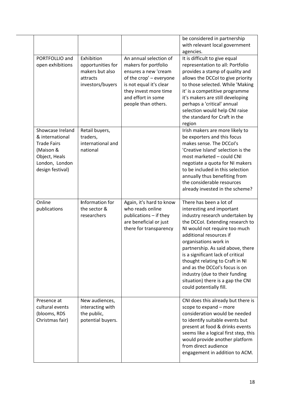|                                                                                                                               |                                                                                    |                                                                                                                                                                                                    | be considered in partnership<br>with relevant local government<br>agencies.                                                                                                                                                                                                                                                                                                                                                                                       |
|-------------------------------------------------------------------------------------------------------------------------------|------------------------------------------------------------------------------------|----------------------------------------------------------------------------------------------------------------------------------------------------------------------------------------------------|-------------------------------------------------------------------------------------------------------------------------------------------------------------------------------------------------------------------------------------------------------------------------------------------------------------------------------------------------------------------------------------------------------------------------------------------------------------------|
| PORTFOLLIO and<br>open exhibitions                                                                                            | Exhibition<br>opportunities for<br>makers but also<br>attracts<br>investors/buyers | An annual selection of<br>makers for portfolio<br>ensures a new 'cream<br>of the crop' - everyone<br>is not equal it's clear<br>they invest more time<br>and effort in some<br>people than others. | It is difficult to give equal<br>representation to all: Portfolio<br>provides a stamp of quality and<br>allows the DCCoI to give priority<br>to those selected. While 'Making<br>it' is a competitive programme<br>it's makers are still developing<br>perhaps a 'critical' annual<br>selection would help CNI raise<br>the standard for Craft in the<br>region                                                                                                   |
| Showcase Ireland<br>& international<br><b>Trade Fairs</b><br>(Maison &<br>Object, Heals<br>London, London<br>design festival) | Retail buyers,<br>traders,<br>international and<br>national                        |                                                                                                                                                                                                    | Irish makers are more likely to<br>be exporters and this focus<br>makes sense. The DCCol's<br>'Creative Island' selection is the<br>most marketed - could CNI<br>negotiate a quota for NI makers<br>to be included in this selection<br>annually thus benefiting from<br>the considerable resources<br>already invested in the scheme?                                                                                                                            |
| Online<br>publications                                                                                                        | Information for<br>the sector &<br>researchers                                     | Again, it's hard to know<br>who reads online<br>publications - if they<br>are beneficial or just<br>there for transparency                                                                         | There has been a lot of<br>interesting and important<br>industry research undertaken by<br>the DCCol. Extending research to<br>NI would not require too much<br>additional resources if<br>organisations work in<br>partnership. As said above, there<br>is a significant lack of critical<br>thought relating to Craft in NI<br>and as the DCCol's focus is on<br>industry (due to their funding<br>situation) there is a gap the CNI<br>could potentially fill. |
| Presence at<br>cultural events<br>(blooms, RDS<br>Christmas fair)                                                             | New audiences,<br>interacting with<br>the public,<br>potential buyers.             |                                                                                                                                                                                                    | CNI does this already but there is<br>scope to expand - more<br>consideration would be needed<br>to identify suitable events but<br>present at food & drinks events<br>seems like a logical first step, this<br>would provide another platform<br>from direct audience<br>engagement in addition to ACM.                                                                                                                                                          |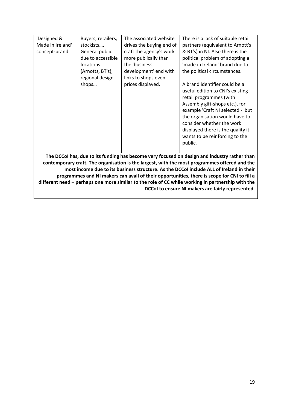| 'Designed &                                                                                 | Buyers, retailers, | The associated website   | There is a lack of suitable retail                                                                                                                                                                                                                                                                                  |  |  |
|---------------------------------------------------------------------------------------------|--------------------|--------------------------|---------------------------------------------------------------------------------------------------------------------------------------------------------------------------------------------------------------------------------------------------------------------------------------------------------------------|--|--|
| Made in Ireland'                                                                            | stockists          | drives the buying end of | partners (equivalent to Arnott's                                                                                                                                                                                                                                                                                    |  |  |
| concept-brand                                                                               | General public     | craft the agency's work  | & BT's) in NI. Also there is the                                                                                                                                                                                                                                                                                    |  |  |
|                                                                                             | due to accessible  | more publically than     | political problem of adopting a                                                                                                                                                                                                                                                                                     |  |  |
|                                                                                             | <b>locations</b>   | the 'business            | 'made in Ireland' brand due to                                                                                                                                                                                                                                                                                      |  |  |
|                                                                                             | (Arnotts, BT's),   | development' end with    | the political circumstances.                                                                                                                                                                                                                                                                                        |  |  |
|                                                                                             | regional design    | links to shops even      |                                                                                                                                                                                                                                                                                                                     |  |  |
|                                                                                             | shops              | prices displayed.        | A brand identifier could be a<br>useful edition to CNI's existing<br>retail programmes (with<br>Assembly gift-shops etc.), for<br>example 'Craft NI selected'- but<br>the organisation would have to<br>consider whether the work<br>displayed there is the quality it<br>wants to be reinforcing to the<br>public. |  |  |
|                                                                                             |                    |                          | The DCCoI has, due to its funding has become very focused on design and industry rather than                                                                                                                                                                                                                        |  |  |
|                                                                                             |                    |                          | contemporary craft. The organisation is the largest, with the most programmes offered and the                                                                                                                                                                                                                       |  |  |
| most income due to its business structure. As the DCCol include ALL of Ireland in their     |                    |                          |                                                                                                                                                                                                                                                                                                                     |  |  |
| programmes and NI makers can avail of their opportunities, there is scope for CNI to fill a |                    |                          |                                                                                                                                                                                                                                                                                                                     |  |  |

**different need – perhaps one more similar to the role of CC while working in partnership with the** 

**DCCoI to ensure NI makers are fairly represented**.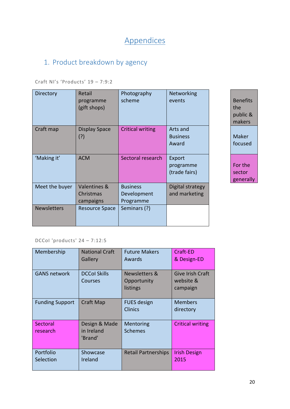# Appendices

# <span id="page-19-1"></span><span id="page-19-0"></span>1. Product breakdown by agency

Craft NI's 'Products' 19 – 7:9:2

| Directory          | Retail<br>programme<br>(gift shops)    | Photography<br>scheme                       | Networking<br>events                 |
|--------------------|----------------------------------------|---------------------------------------------|--------------------------------------|
| Craft map          | Display Space<br>(?)                   | <b>Critical writing</b>                     | Arts and<br><b>Business</b><br>Award |
| 'Making it'        | <b>ACM</b>                             | Sectoral research                           | Export<br>programme<br>(trade fairs) |
| Meet the buyer     | Valentines &<br>Christmas<br>campaigns | <b>Business</b><br>Development<br>Programme | Digital strategy<br>and marketing    |
| <b>Newsletters</b> | <b>Resource Space</b>                  | Seminars (?)                                |                                      |

**Benefits** the public & makers Maker focused For the sector generally

DCCoI 'products' 24 – 7:12:5

| Membership             | <b>National Craft</b><br>Gallery       | <b>Future Makers</b><br>Awards           | Craft-ED<br>& Design-ED                   |
|------------------------|----------------------------------------|------------------------------------------|-------------------------------------------|
| <b>GANS network</b>    | <b>DCCol Skills</b><br>Courses         | Newsletters &<br>Opportunity<br>listings | Give Irish Craft<br>website &<br>campaign |
| <b>Funding Support</b> | Craft Map                              | <b>FUES</b> design<br><b>Clinics</b>     | <b>Members</b><br>directory               |
| Sectoral<br>research   | Design & Made<br>in Ireland<br>'Brand' | <b>Mentoring</b><br><b>Schemes</b>       | <b>Critical writing</b>                   |
| Portfolio<br>Selection | Showcase<br>Ireland                    | <b>Retail Partnerships</b>               | <b>Irish Design</b><br>2015               |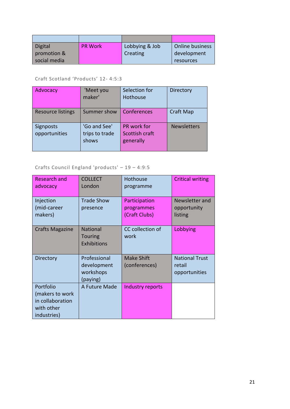| Digital      | <b>PR Work</b> | Lobbying & Job | <b>Online business</b> |
|--------------|----------------|----------------|------------------------|
| promotion &  |                | Creating       | development            |
| social media |                |                | resources              |

Craft Scotland 'Products' 12- 4:5:3

| Advocacy                          | 'Meet you<br>maker'                     | Selection for<br>Hothouse                  | <b>Directory</b>   |
|-----------------------------------|-----------------------------------------|--------------------------------------------|--------------------|
| <b>Resource listings</b>          | Summer show                             | Conferences                                | <b>Craft Map</b>   |
| <b>Signposts</b><br>opportunities | 'Go and See'<br>trips to trade<br>shows | PR work for<br>Scottish craft<br>generally | <b>Newsletters</b> |

### Crafts Council England 'products' – 19 – 4:9:5

| <b>Research and</b><br>advocacy                                               | <b>COLLECT</b><br>London                             | Hothouse<br>programme                        | <b>Critical writing</b>                          |
|-------------------------------------------------------------------------------|------------------------------------------------------|----------------------------------------------|--------------------------------------------------|
| Injection<br>(mid-career<br>makers)                                           | <b>Trade Show</b><br>presence                        | Participation<br>programmes<br>(Craft Clubs) | Newsletter and<br>opportunity<br>listing         |
| <b>Crafts Magazine</b>                                                        | <b>National</b><br>Touring<br>Exhibitions            | CC collection of<br>work                     | Lobbying                                         |
| Directory                                                                     | Professional<br>development<br>workshops<br>(paying) | <b>Make Shift</b><br>(conferences)           | <b>National Trust</b><br>retail<br>opportunities |
| Portfolio<br>(makers to work<br>in collaboration<br>with other<br>industries) | A Future Made                                        | Industry reports                             |                                                  |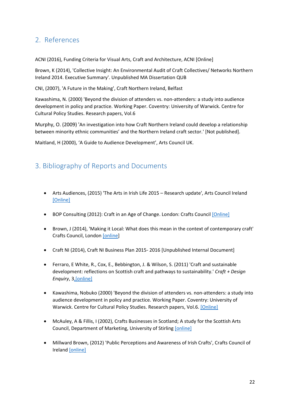### <span id="page-21-0"></span>2. References

ACNI (2016), Funding Criteria for Visual Arts, Craft and Architecture, ACNI [Online]

Brown, K (2014), 'Collective Insight: An Environmental Audit of Craft Collectives/ Networks Northern Ireland 2014. Executive Summary'. Unpublished MA Dissertation QUB

CNI, (2007), 'A Future in the Making', Craft Northern Ireland, Belfast

Kawashima, N. (2000) 'Beyond the division of attenders vs. non-attenders: a study into audience development in policy and practice. Working Paper. Coventry: University of Warwick. Centre for Cultural Policy Studies. Research papers, Vol.6

Murphy, O. (2009) 'An investigation into how Craft Northern Ireland could develop a relationship between minority ethnic communities' and the Northern Ireland craft sector.' [Not published].

Maitland, H (2000), 'A Guide to Audience Development', Arts Council UK.

### <span id="page-21-1"></span>3. Bibliography of Reports and Documents

- Arts Audiences, (2015) 'The Arts in Irish Life 2015 Research update', Arts Council Ireland [\[Online\]](http://artsaudiences.ie/the-arts-in-irish-life-2015-research-update/)
- BOP Consulting (2012): Craft in an Age of Change. London: Crafts Council [\[Online\]](http://wcc-europe.org/sites/default/files/Craft_in_an_Age_of_Change.pdf)
- Brown, J (2014), 'Making it Local: What does this mean in the context of contemporary craft' Crafts Council, London [\[online\]](http://www.craftscouncil.org.uk/content/files/Crafts_Council_Local_Report_Web_SinglePages.pdf)
- Craft NI (2014), Craft NI Business Plan 2015- 2016 [Unpublished Internal Document]
- Ferraro, E White, R., Cox, E., Bebbington, J. & Wilson, S. (2011) 'Craft and sustainable development: reflections on Scottish craft and pathways to sustainability.' *Craft + Design Enquiry*, [3,\[online\]](http://discovery.dundee.ac.uk/portal/files/1104325/craft_sustainable_development.pdf)
- Kawashima, Nobuko (2000) 'Beyond the division of attenders vs. non-attenders: a study into audience development in policy and practice. Working Paper. Coventry: University of Warwick. Centre for Cultural Policy Studies. Research papers, Vol.6[. \[Online\]](http://s3.amazonaws.com/academia.edu.documents/38670958/Social_Exclusion_Printed_version.pdf?AWSAccessKeyId=AKIAJ56TQJRTWSMTNPEA&Expires=1469189076&Signature=Qwxx%2F%2BJu%2FeOaO4n%2Fc%2BHzA%2Ba1HZc%3D&response-content-disposition=inline%3B%20filename%3DAudience_Development_and_Social_Inclusio.pdf)
- McAuley, A & Fillis, I (2002), Crafts Businesses in Scotland; A study for the Scottish Arts Council, Department of Marketing, University of Stirling [\[online\]](http://www.scottisharts.org.uk/resources/publications/research/pdf/RES11%20Craft%20Businesses%20In%20Scotland.pdf)
- Millward Brown, (2012) 'Public Perceptions and Awareness of Irish Crafts', Crafts Council of Ireland [\[online\]](https://issuu.com/craftscouncilofireland/docs/millward_brown_research_december_2012_crafts_counc)